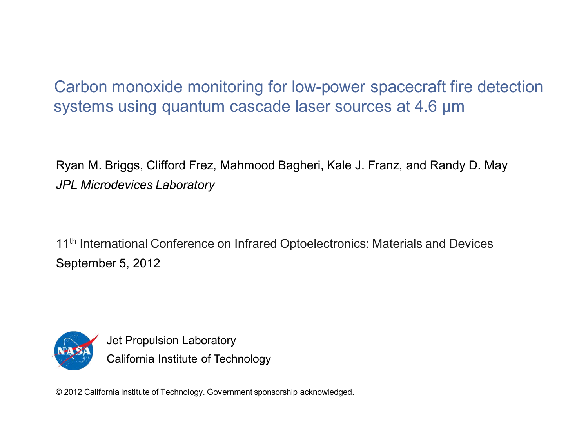Carbon monoxide monitoring for low-power spacecraft fire detection systems using quantum cascade laser sources at 4.6 µm

Ryan M. Briggs, Clifford Frez, Mahmood Bagheri, Kale J. Franz, and Randy D. May *JPL Microdevices Laboratory*

11<sup>th</sup> International Conference on Infrared Optoelectronics: Materials and Devices September 5, 2012



Jet Propulsion Laboratory California Institute of Technology

© 2012 California Institute of Technology. Government sponsorship acknowledged.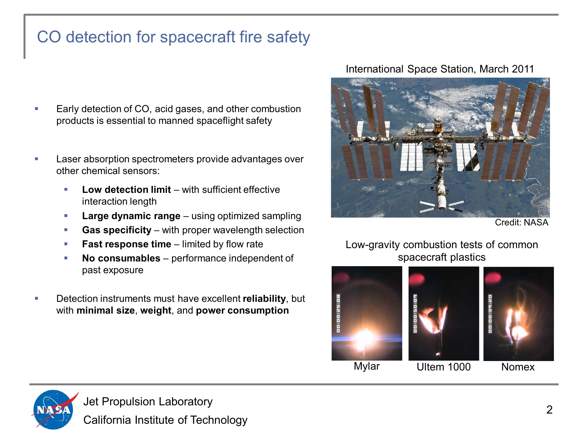# CO detection for spacecraft fire safety

- Early detection of CO, acid gases, and other combustion products is essential to manned spaceflight safety
- Laser absorption spectrometers provide advantages over other chemical sensors:
	- Low detection limit with sufficient effective interaction length
	- **Large dynamic range** using optimized sampling
	- **Gas specificity** with proper wavelength selection
	- **Fast response time** limited by flow rate
	- **No consumables**  performance independent of past exposure
- Detection instruments must have excellent **reliability**, but with **minimal size**, **weight**, and **power consumption**

#### International Space Station, March 2011



Credit: NASA

Low-gravity combustion tests of common spacecraft plastics



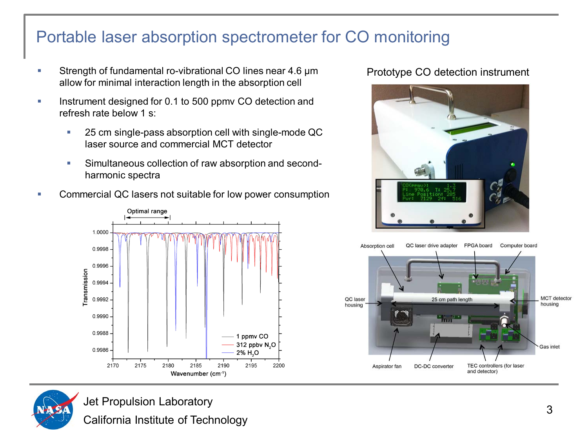### Portable laser absorption spectrometer for CO monitoring

- Strength of fundamental ro-vibrational CO lines near 4.6  $\mu$ m allow for minimal interaction length in the absorption cell
- **Instrument designed for 0.1 to 500 ppmy CO detection and** refresh rate below 1 s:
	- **25 cm single-pass absorption cell with single-mode QC** laser source and commercial MCT detector
	- Simultaneous collection of raw absorption and secondharmonic spectra
- Commercial QC lasers not suitable for low power consumption



### Prototype CO detection instrument







Jet Propulsion Laboratory

California Institute of Technology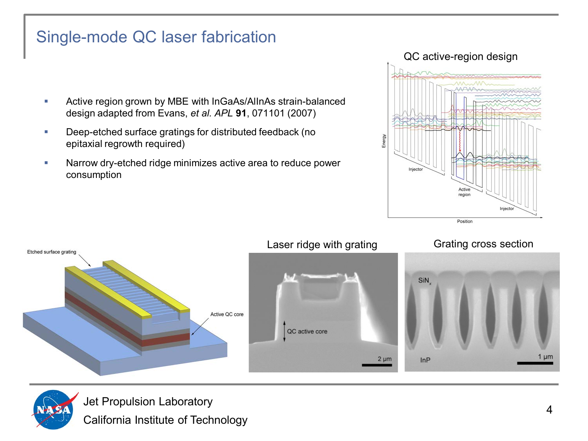## Single-mode QC laser fabrication

- Active region grown by MBE with InGaAs/AlInAs strain-balanced design adapted from Evans, *et al. APL* **91**, 071101 (2007)
- **Deep-etched surface gratings for distributed feedback (no** epitaxial regrowth required)
- Narrow dry-etched ridge minimizes active area to reduce power consumption







Jet Propulsion Laboratory California Institute of Technology